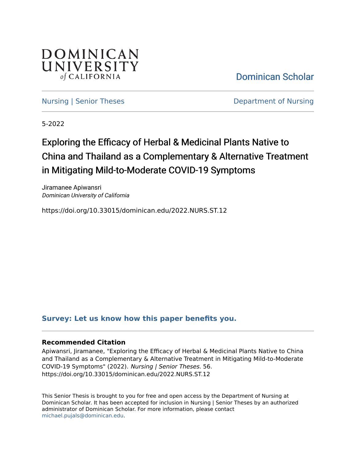

[Dominican Scholar](https://scholar.dominican.edu/) 

[Nursing | Senior Theses](https://scholar.dominican.edu/nursing-senior-theses) **Department of Nursing** 

5-2022

# Exploring the Efficacy of Herbal & Medicinal Plants Native to China and Thailand as a Complementary & Alternative Treatment in Mitigating Mild-to-Moderate COVID-19 Symptoms

Jiramanee Apiwansri Dominican University of California

https://doi.org/10.33015/dominican.edu/2022.NURS.ST.12

## **[Survey: Let us know how this paper benefits you.](https://dominican.libwizard.com/dominican-scholar-feedback)**

## **Recommended Citation**

Apiwansri, Jiramanee, "Exploring the Efficacy of Herbal & Medicinal Plants Native to China and Thailand as a Complementary & Alternative Treatment in Mitigating Mild-to-Moderate COVID-19 Symptoms" (2022). Nursing | Senior Theses. 56. https://doi.org/10.33015/dominican.edu/2022.NURS.ST.12

This Senior Thesis is brought to you for free and open access by the Department of Nursing at Dominican Scholar. It has been accepted for inclusion in Nursing | Senior Theses by an authorized administrator of Dominican Scholar. For more information, please contact [michael.pujals@dominican.edu.](mailto:michael.pujals@dominican.edu)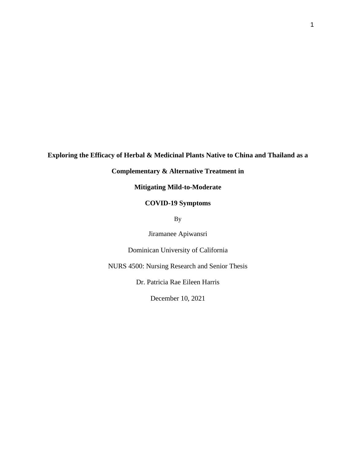## **Exploring the Efficacy of Herbal & Medicinal Plants Native to China and Thailand as a**

## **Complementary & Alternative Treatment in**

**Mitigating Mild-to-Moderate**

## **COVID-19 Symptoms**

By

Jiramanee Apiwansri

Dominican University of California

NURS 4500: Nursing Research and Senior Thesis

Dr. Patricia Rae Eileen Harris

December 10, 2021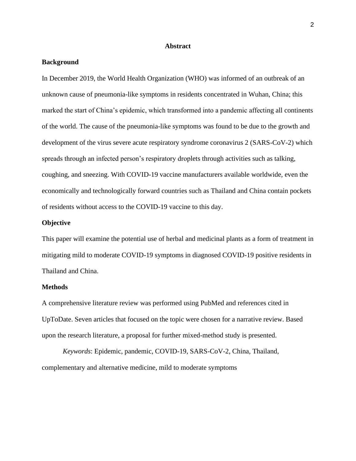## **Abstract**

## <span id="page-2-1"></span><span id="page-2-0"></span>**Background**

In December 2019, the World Health Organization (WHO) was informed of an outbreak of an unknown cause of pneumonia-like symptoms in residents concentrated in Wuhan, China; this marked the start of China's epidemic, which transformed into a pandemic affecting all continents of the world. The cause of the pneumonia-like symptoms was found to be due to the growth and development of the virus severe acute respiratory syndrome coronavirus 2 (SARS-CoV-2) which spreads through an infected person's respiratory droplets through activities such as talking, coughing, and sneezing. With COVID-19 vaccine manufacturers available worldwide, even the economically and technologically forward countries such as Thailand and China contain pockets of residents without access to the COVID-19 vaccine to this day.

## <span id="page-2-2"></span>**Objective**

This paper will examine the potential use of herbal and medicinal plants as a form of treatment in mitigating mild to moderate COVID-19 symptoms in diagnosed COVID-19 positive residents in Thailand and China.

## <span id="page-2-3"></span>**Methods**

A comprehensive literature review was performed using PubMed and references cited in UpToDate. Seven articles that focused on the topic were chosen for a narrative review. Based upon the research literature, a proposal for further mixed-method study is presented.

*Keywords*: Epidemic, pandemic, COVID-19, SARS-CoV-2, China, Thailand, complementary and alternative medicine, mild to moderate symptoms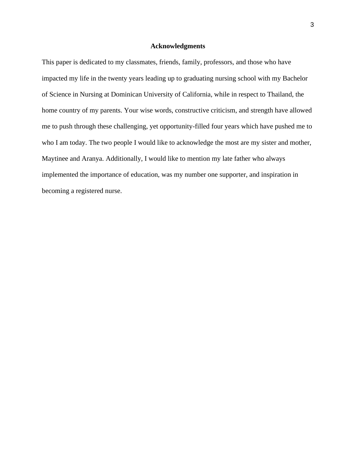## **Acknowledgments**

<span id="page-3-0"></span>This paper is dedicated to my classmates, friends, family, professors, and those who have impacted my life in the twenty years leading up to graduating nursing school with my Bachelor of Science in Nursing at Dominican University of California, while in respect to Thailand, the home country of my parents. Your wise words, constructive criticism, and strength have allowed me to push through these challenging, yet opportunity-filled four years which have pushed me to who I am today. The two people I would like to acknowledge the most are my sister and mother, Maytinee and Aranya. Additionally, I would like to mention my late father who always implemented the importance of education, was my number one supporter, and inspiration in becoming a registered nurse.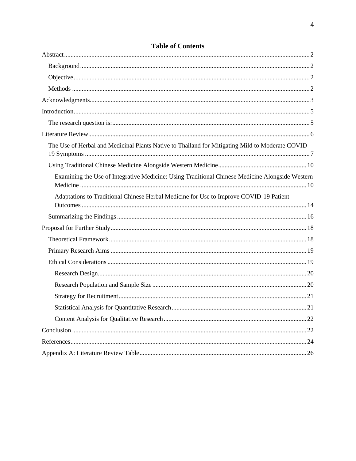| The Use of Herbal and Medicinal Plants Native to Thailand for Mitigating Mild to Moderate COVID- |
|--------------------------------------------------------------------------------------------------|
|                                                                                                  |
| Examining the Use of Integrative Medicine: Using Traditional Chinese Medicine Alongside Western  |
| Adaptations to Traditional Chinese Herbal Medicine for Use to Improve COVID-19 Patient           |
|                                                                                                  |
|                                                                                                  |
|                                                                                                  |
|                                                                                                  |
|                                                                                                  |
|                                                                                                  |
|                                                                                                  |
|                                                                                                  |
|                                                                                                  |
|                                                                                                  |
|                                                                                                  |
|                                                                                                  |
|                                                                                                  |

## **Table of Contents**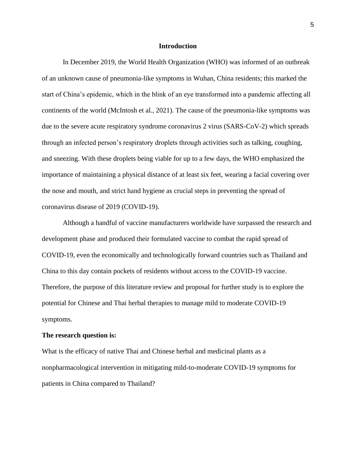### **Introduction**

<span id="page-5-0"></span>In December 2019, the World Health Organization (WHO) was informed of an outbreak of an unknown cause of pneumonia-like symptoms in Wuhan, China residents; this marked the start of China's epidemic, which in the blink of an eye transformed into a pandemic affecting all continents of the world (McIntosh et al., 2021). The cause of the pneumonia-like symptoms was due to the severe acute respiratory syndrome coronavirus 2 virus (SARS-CoV-2) which spreads through an infected person's respiratory droplets through activities such as talking, coughing, and sneezing. With these droplets being viable for up to a few days, the WHO emphasized the importance of maintaining a physical distance of at least six feet, wearing a facial covering over the nose and mouth, and strict hand hygiene as crucial steps in preventing the spread of coronavirus disease of 2019 (COVID-19).

Although a handful of vaccine manufacturers worldwide have surpassed the research and development phase and produced their formulated vaccine to combat the rapid spread of COVID-19, even the economically and technologically forward countries such as Thailand and China to this day contain pockets of residents without access to the COVID-19 vaccine. Therefore, the purpose of this literature review and proposal for further study is to explore the potential for Chinese and Thai herbal therapies to manage mild to moderate COVID-19 symptoms.

#### <span id="page-5-1"></span>**The research question is:**

What is the efficacy of native Thai and Chinese herbal and medicinal plants as a nonpharmacological intervention in mitigating mild-to-moderate COVID-19 symptoms for patients in China compared to Thailand?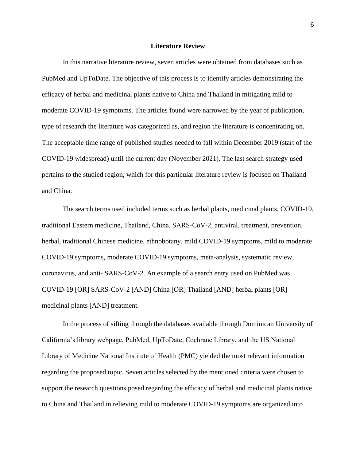## **Literature Review**

<span id="page-6-0"></span>In this narrative literature review, seven articles were obtained from databases such as PubMed and UpToDate. The objective of this process is to identify articles demonstrating the efficacy of herbal and medicinal plants native to China and Thailand in mitigating mild to moderate COVID-19 symptoms. The articles found were narrowed by the year of publication, type of research the literature was categorized as, and region the literature is concentrating on. The acceptable time range of published studies needed to fall within December 2019 (start of the COVID-19 widespread) until the current day (November 2021). The last search strategy used pertains to the studied region, which for this particular literature review is focused on Thailand and China.

The search terms used included terms such as herbal plants, medicinal plants, COVID-19, traditional Eastern medicine, Thailand, China, SARS-CoV-2, antiviral, treatment, prevention, herbal, traditional Chinese medicine, ethnobotany, mild COVID-19 symptoms, mild to moderate COVID-19 symptoms, moderate COVID-19 symptoms, meta-analysis, systematic review, coronavirus, and anti- SARS-CoV-2. An example of a search entry used on PubMed was COVID-19 [OR] SARS-CoV-2 [AND] China [OR] Thailand [AND] herbal plants [OR] medicinal plants [AND] treatment.

In the process of sifting through the databases available through Dominican University of California's library webpage, PubMed, UpToDate, Cochrane Library, and the US National Library of Medicine National Institute of Health (PMC) yielded the most relevant information regarding the proposed topic. Seven articles selected by the mentioned criteria were chosen to support the research questions posed regarding the efficacy of herbal and medicinal plants native to China and Thailand in relieving mild to moderate COVID-19 symptoms are organized into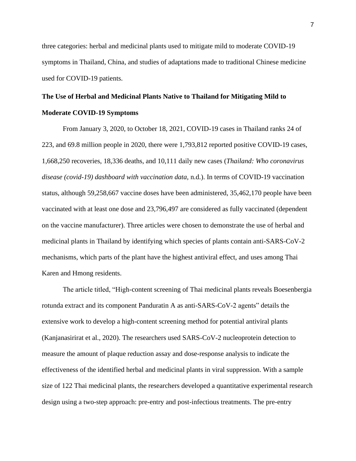three categories: herbal and medicinal plants used to mitigate mild to moderate COVID-19 symptoms in Thailand, China, and studies of adaptations made to traditional Chinese medicine used for COVID-19 patients.

## <span id="page-7-0"></span>**The Use of Herbal and Medicinal Plants Native to Thailand for Mitigating Mild to Moderate COVID-19 Symptoms**

From January 3, 2020, to October 18, 2021, COVID-19 cases in Thailand ranks 24 of 223, and 69.8 million people in 2020, there were 1,793,812 reported positive COVID-19 cases, 1,668,250 recoveries, 18,336 deaths, and 10,111 daily new cases (*Thailand: Who coronavirus disease (covid-19) dashboard with vaccination data,* n.d.). In terms of COVID-19 vaccination status, although 59,258,667 vaccine doses have been administered, 35,462,170 people have been vaccinated with at least one dose and 23,796,497 are considered as fully vaccinated (dependent on the vaccine manufacturer). Three articles were chosen to demonstrate the use of herbal and medicinal plants in Thailand by identifying which species of plants contain anti-SARS-CoV-2 mechanisms, which parts of the plant have the highest antiviral effect, and uses among Thai Karen and Hmong residents.

The article titled, "High-content screening of Thai medicinal plants reveals Boesenbergia rotunda extract and its component Panduratin A as anti-SARS-CoV-2 agents" details the extensive work to develop a high-content screening method for potential antiviral plants (Kanjanasirirat et al., 2020). The researchers used SARS-CoV-2 nucleoprotein detection to measure the amount of plaque reduction assay and dose-response analysis to indicate the effectiveness of the identified herbal and medicinal plants in viral suppression. With a sample size of 122 Thai medicinal plants, the researchers developed a quantitative experimental research design using a two-step approach: pre-entry and post-infectious treatments. The pre-entry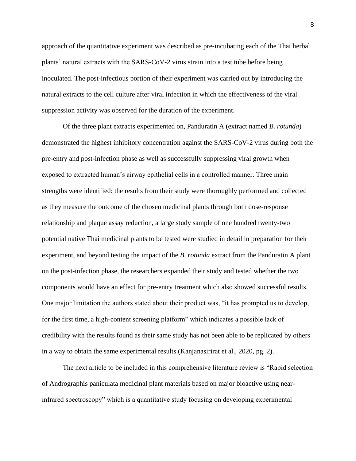approach of the quantitative experiment was described as pre-incubating each of the Thai herbal plants' natural extracts with the SARS-CoV-2 virus strain into a test tube before being inoculated. The post-infectious portion of their experiment was carried out by introducing the natural extracts to the cell culture after viral infection in which the effectiveness of the viral suppression activity was observed for the duration of the experiment.

Of the three plant extracts experimented on, Panduratin A (extract named *B. rotunda*) demonstrated the highest inhibitory concentration against the SARS-CoV-2 virus during both the pre-entry and post-infection phase as well as successfully suppressing viral growth when exposed to extracted human's airway epithelial cells in a controlled manner. Three main strengths were identified: the results from their study were thoroughly performed and collected as they measure the outcome of the chosen medicinal plants through both dose-response relationship and plaque assay reduction, a large study sample of one hundred twenty-two potential native Thai medicinal plants to be tested were studied in detail in preparation for their experiment, and beyond testing the impact of the *B. rotunda* extract from the Panduratin A plant on the post-infection phase, the researchers expanded their study and tested whether the two components would have an effect for pre-entry treatment which also showed successful results. One major limitation the authors stated about their product was, "it has prompted us to develop, for the first time, a high-content screening platform" which indicates a possible lack of credibility with the results found as their same study has not been able to be replicated by others in a way to obtain the same experimental results (Kanjanasirirat et al., 2020, pg. 2).

The next article to be included in this comprehensive literature review is "Rapid selection of Andrographis paniculata medicinal plant materials based on major bioactive using nearinfrared spectroscopy" which is a quantitative study focusing on developing experimental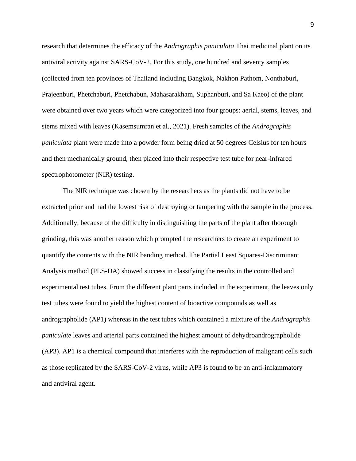research that determines the efficacy of the *Andrographis paniculata* Thai medicinal plant on its antiviral activity against SARS-CoV-2. For this study, one hundred and seventy samples (collected from ten provinces of Thailand including Bangkok, Nakhon Pathom, Nonthaburi, Prajeenburi, Phetchaburi, Phetchabun, Mahasarakham, Suphanburi, and Sa Kaeo) of the plant were obtained over two years which were categorized into four groups: aerial, stems, leaves, and stems mixed with leaves (Kasemsumran et al., 2021). Fresh samples of the *Andrographis paniculata* plant were made into a powder form being dried at 50 degrees Celsius for ten hours and then mechanically ground, then placed into their respective test tube for near-infrared spectrophotometer (NIR) testing.

The NIR technique was chosen by the researchers as the plants did not have to be extracted prior and had the lowest risk of destroying or tampering with the sample in the process. Additionally, because of the difficulty in distinguishing the parts of the plant after thorough grinding, this was another reason which prompted the researchers to create an experiment to quantify the contents with the NIR banding method. The Partial Least Squares-Discriminant Analysis method (PLS-DA) showed success in classifying the results in the controlled and experimental test tubes. From the different plant parts included in the experiment, the leaves only test tubes were found to yield the highest content of bioactive compounds as well as andrographolide (AP1) whereas in the test tubes which contained a mixture of the *Andrographis paniculate* leaves and arterial parts contained the highest amount of dehydroandrographolide (AP3). AP1 is a chemical compound that interferes with the reproduction of malignant cells such as those replicated by the SARS-CoV-2 virus, while AP3 is found to be an anti-inflammatory and antiviral agent.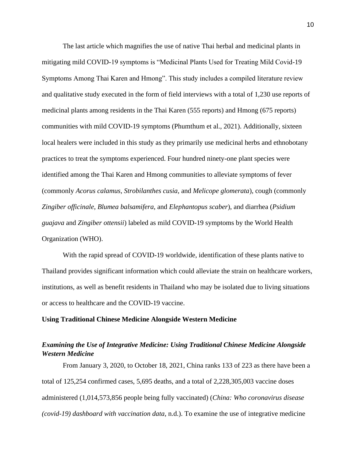The last article which magnifies the use of native Thai herbal and medicinal plants in mitigating mild COVID-19 symptoms is "Medicinal Plants Used for Treating Mild Covid-19 Symptoms Among Thai Karen and Hmong". This study includes a compiled literature review and qualitative study executed in the form of field interviews with a total of 1,230 use reports of medicinal plants among residents in the Thai Karen (555 reports) and Hmong (675 reports) communities with mild COVID-19 symptoms (Phumthum et al., 2021). Additionally, sixteen local healers were included in this study as they primarily use medicinal herbs and ethnobotany practices to treat the symptoms experienced. Four hundred ninety-one plant species were identified among the Thai Karen and Hmong communities to alleviate symptoms of fever (commonly *Acorus calamus*, *Strobilanthes cusia*, and *Melicope glomerata*), cough (commonly *Zingiber officinale*, *Blumea balsamifera*, and *Elephantopus scaber*), and diarrhea (*Psidium guajava* and *Zingiber ottensii*) labeled as mild COVID-19 symptoms by the World Health Organization (WHO).

With the rapid spread of COVID-19 worldwide, identification of these plants native to Thailand provides significant information which could alleviate the strain on healthcare workers, institutions, as well as benefit residents in Thailand who may be isolated due to living situations or access to healthcare and the COVID-19 vaccine.

#### <span id="page-10-0"></span>**Using Traditional Chinese Medicine Alongside Western Medicine**

## <span id="page-10-1"></span>*Examining the Use of Integrative Medicine: Using Traditional Chinese Medicine Alongside Western Medicine*

From January 3, 2020, to October 18, 2021, China ranks 133 of 223 as there have been a total of 125,254 confirmed cases, 5,695 deaths, and a total of 2,228,305,003 vaccine doses administered (1,014,573,856 people being fully vaccinated) (*China: Who coronavirus disease (covid-19) dashboard with vaccination data*, n.d.). To examine the use of integrative medicine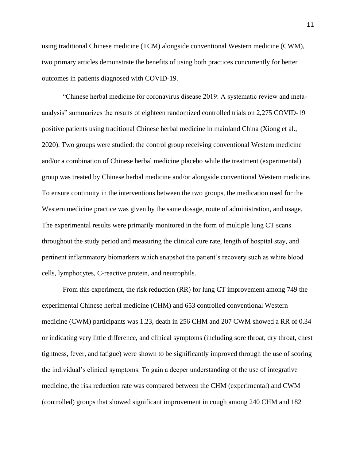using traditional Chinese medicine (TCM) alongside conventional Western medicine (CWM), two primary articles demonstrate the benefits of using both practices concurrently for better outcomes in patients diagnosed with COVID-19.

"Chinese herbal medicine for coronavirus disease 2019: A systematic review and metaanalysis" summarizes the results of eighteen randomized controlled trials on 2,275 COVID-19 positive patients using traditional Chinese herbal medicine in mainland China (Xiong et al., 2020). Two groups were studied: the control group receiving conventional Western medicine and/or a combination of Chinese herbal medicine placebo while the treatment (experimental) group was treated by Chinese herbal medicine and/or alongside conventional Western medicine. To ensure continuity in the interventions between the two groups, the medication used for the Western medicine practice was given by the same dosage, route of administration, and usage. The experimental results were primarily monitored in the form of multiple lung CT scans throughout the study period and measuring the clinical cure rate, length of hospital stay, and pertinent inflammatory biomarkers which snapshot the patient's recovery such as white blood cells, lymphocytes, C-reactive protein, and neutrophils.

From this experiment, the risk reduction (RR) for lung CT improvement among 749 the experimental Chinese herbal medicine (CHM) and 653 controlled conventional Western medicine (CWM) participants was 1.23, death in 256 CHM and 207 CWM showed a RR of 0.34 or indicating very little difference, and clinical symptoms (including sore throat, dry throat, chest tightness, fever, and fatigue) were shown to be significantly improved through the use of scoring the individual's clinical symptoms. To gain a deeper understanding of the use of integrative medicine, the risk reduction rate was compared between the CHM (experimental) and CWM (controlled) groups that showed significant improvement in cough among 240 CHM and 182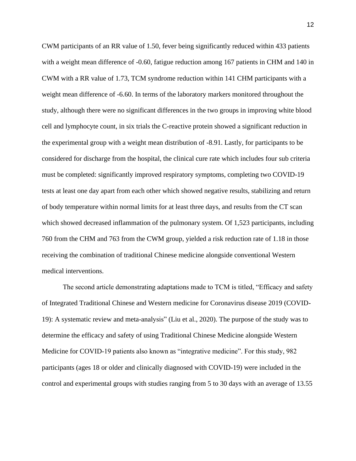CWM participants of an RR value of 1.50, fever being significantly reduced within 433 patients with a weight mean difference of -0.60, fatigue reduction among 167 patients in CHM and 140 in CWM with a RR value of 1.73, TCM syndrome reduction within 141 CHM participants with a weight mean difference of -6.60. In terms of the laboratory markers monitored throughout the study, although there were no significant differences in the two groups in improving white blood cell and lymphocyte count, in six trials the C-reactive protein showed a significant reduction in the experimental group with a weight mean distribution of -8.91. Lastly, for participants to be considered for discharge from the hospital, the clinical cure rate which includes four sub criteria must be completed: significantly improved respiratory symptoms, completing two COVID-19 tests at least one day apart from each other which showed negative results, stabilizing and return of body temperature within normal limits for at least three days, and results from the CT scan which showed decreased inflammation of the pulmonary system. Of 1,523 participants, including 760 from the CHM and 763 from the CWM group, yielded a risk reduction rate of 1.18 in those receiving the combination of traditional Chinese medicine alongside conventional Western medical interventions.

The second article demonstrating adaptations made to TCM is titled, "Efficacy and safety of Integrated Traditional Chinese and Western medicine for Coronavirus disease 2019 (COVID-19): A systematic review and meta-analysis" (Liu et al., 2020). The purpose of the study was to determine the efficacy and safety of using Traditional Chinese Medicine alongside Western Medicine for COVID-19 patients also known as "integrative medicine". For this study, 982 participants (ages 18 or older and clinically diagnosed with COVID-19) were included in the control and experimental groups with studies ranging from 5 to 30 days with an average of 13.55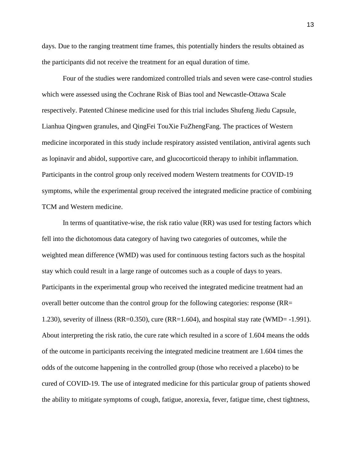days. Due to the ranging treatment time frames, this potentially hinders the results obtained as the participants did not receive the treatment for an equal duration of time.

Four of the studies were randomized controlled trials and seven were case-control studies which were assessed using the Cochrane Risk of Bias tool and Newcastle-Ottawa Scale respectively. Patented Chinese medicine used for this trial includes Shufeng Jiedu Capsule, Lianhua Qingwen granules, and QingFei TouXie FuZhengFang. The practices of Western medicine incorporated in this study include respiratory assisted ventilation, antiviral agents such as lopinavir and abidol, supportive care, and glucocorticoid therapy to inhibit inflammation. Participants in the control group only received modern Western treatments for COVID-19 symptoms, while the experimental group received the integrated medicine practice of combining TCM and Western medicine.

In terms of quantitative-wise, the risk ratio value (RR) was used for testing factors which fell into the dichotomous data category of having two categories of outcomes, while the weighted mean difference (WMD) was used for continuous testing factors such as the hospital stay which could result in a large range of outcomes such as a couple of days to years. Participants in the experimental group who received the integrated medicine treatment had an overall better outcome than the control group for the following categories: response (RR= 1.230), severity of illness (RR=0.350), cure (RR=1.604), and hospital stay rate (WMD= -1.991). About interpreting the risk ratio, the cure rate which resulted in a score of 1.604 means the odds of the outcome in participants receiving the integrated medicine treatment are 1.604 times the odds of the outcome happening in the controlled group (those who received a placebo) to be cured of COVID-19. The use of integrated medicine for this particular group of patients showed the ability to mitigate symptoms of cough, fatigue, anorexia, fever, fatigue time, chest tightness,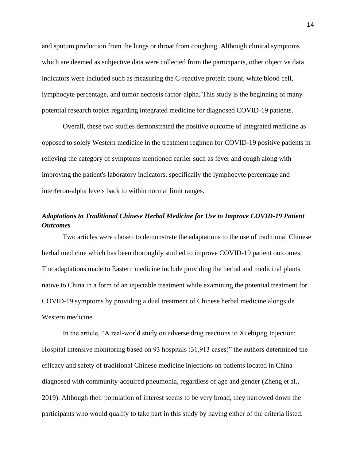and sputum production from the lungs or throat from coughing. Although clinical symptoms which are deemed as subjective data were collected from the participants, other objective data indicators were included such as measuring the C-reactive protein count, white blood cell, lymphocyte percentage, and tumor necrosis factor-alpha. This study is the beginning of many potential research topics regarding integrated medicine for diagnosed COVID-19 patients.

Overall, these two studies demonstrated the positive outcome of integrated medicine as opposed to solely Western medicine in the treatment regimen for COVID-19 positive patients in relieving the category of symptoms mentioned earlier such as fever and cough along with improving the patient's laboratory indicators, specifically the lymphocyte percentage and interferon-alpha levels back to within normal limit ranges.

## <span id="page-14-0"></span>*Adaptations to Traditional Chinese Herbal Medicine for Use to Improve COVID-19 Patient Outcomes*

Two articles were chosen to demonstrate the adaptations to the use of traditional Chinese herbal medicine which has been thoroughly studied to improve COVID-19 patient outcomes. The adaptations made to Eastern medicine include providing the herbal and medicinal plants native to China in a form of an injectable treatment while examining the potential treatment for COVID-19 symptoms by providing a dual treatment of Chinese herbal medicine alongside Western medicine.

In the article, "A real-world study on adverse drug reactions to Xuebijing Injection: Hospital intensive monitoring based on 93 hospitals (31,913 cases)" the authors determined the efficacy and safety of traditional Chinese medicine injections on patients located in China diagnosed with community-acquired pneumonia, regardless of age and gender (Zheng et al., 2019). Although their population of interest seems to be very broad, they narrowed down the participants who would qualify to take part in this study by having either of the criteria listed.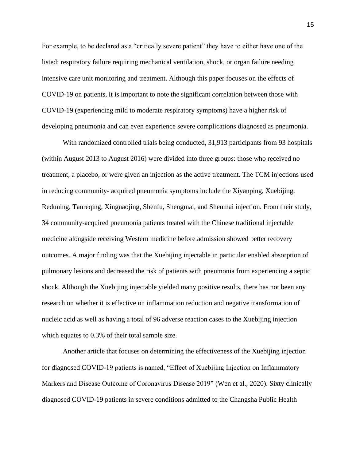For example, to be declared as a "critically severe patient" they have to either have one of the listed: respiratory failure requiring mechanical ventilation, shock, or organ failure needing intensive care unit monitoring and treatment. Although this paper focuses on the effects of COVID-19 on patients, it is important to note the significant correlation between those with COVID-19 (experiencing mild to moderate respiratory symptoms) have a higher risk of developing pneumonia and can even experience severe complications diagnosed as pneumonia.

With randomized controlled trials being conducted, 31,913 participants from 93 hospitals (within August 2013 to August 2016) were divided into three groups: those who received no treatment, a placebo, or were given an injection as the active treatment. The TCM injections used in reducing community- acquired pneumonia symptoms include the Xiyanping, Xuebijing, Reduning, Tanreqing, Xingnaojing, Shenfu, Shengmai, and Shenmai injection. From their study, 34 community-acquired pneumonia patients treated with the Chinese traditional injectable medicine alongside receiving Western medicine before admission showed better recovery outcomes. A major finding was that the Xuebijing injectable in particular enabled absorption of pulmonary lesions and decreased the risk of patients with pneumonia from experiencing a septic shock. Although the Xuebijing injectable yielded many positive results, there has not been any research on whether it is effective on inflammation reduction and negative transformation of nucleic acid as well as having a total of 96 adverse reaction cases to the Xuebijing injection which equates to 0.3% of their total sample size.

Another article that focuses on determining the effectiveness of the Xuebijing injection for diagnosed COVID-19 patients is named, "Effect of Xuebijing Injection on Inflammatory Markers and Disease Outcome of Coronavirus Disease 2019" (Wen et al., 2020). Sixty clinically diagnosed COVID-19 patients in severe conditions admitted to the Changsha Public Health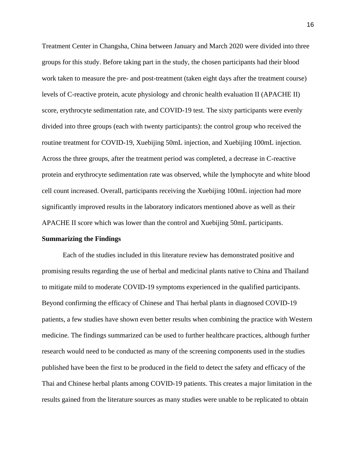Treatment Center in Changsha, China between January and March 2020 were divided into three groups for this study. Before taking part in the study, the chosen participants had their blood work taken to measure the pre- and post-treatment (taken eight days after the treatment course) levels of C-reactive protein, acute physiology and chronic health evaluation II (APACHE II) score, erythrocyte sedimentation rate, and COVID-19 test. The sixty participants were evenly divided into three groups (each with twenty participants): the control group who received the routine treatment for COVID-19, Xuebijing 50mL injection, and Xuebijing 100mL injection. Across the three groups, after the treatment period was completed, a decrease in C-reactive protein and erythrocyte sedimentation rate was observed, while the lymphocyte and white blood cell count increased. Overall, participants receiving the Xuebijing 100mL injection had more significantly improved results in the laboratory indicators mentioned above as well as their APACHE II score which was lower than the control and Xuebijing 50mL participants.

#### <span id="page-16-0"></span>**Summarizing the Findings**

Each of the studies included in this literature review has demonstrated positive and promising results regarding the use of herbal and medicinal plants native to China and Thailand to mitigate mild to moderate COVID-19 symptoms experienced in the qualified participants. Beyond confirming the efficacy of Chinese and Thai herbal plants in diagnosed COVID-19 patients, a few studies have shown even better results when combining the practice with Western medicine. The findings summarized can be used to further healthcare practices, although further research would need to be conducted as many of the screening components used in the studies published have been the first to be produced in the field to detect the safety and efficacy of the Thai and Chinese herbal plants among COVID-19 patients. This creates a major limitation in the results gained from the literature sources as many studies were unable to be replicated to obtain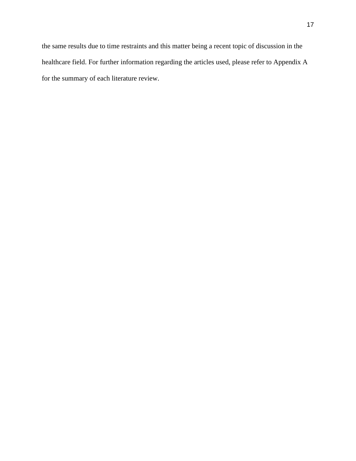the same results due to time restraints and this matter being a recent topic of discussion in the healthcare field. For further information regarding the articles used, please refer to Appendix A for the summary of each literature review.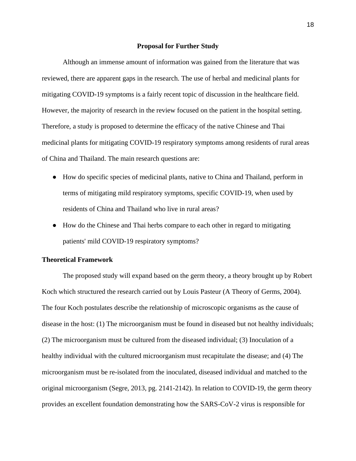#### **Proposal for Further Study**

<span id="page-18-0"></span>Although an immense amount of information was gained from the literature that was reviewed, there are apparent gaps in the research. The use of herbal and medicinal plants for mitigating COVID-19 symptoms is a fairly recent topic of discussion in the healthcare field. However, the majority of research in the review focused on the patient in the hospital setting. Therefore, a study is proposed to determine the efficacy of the native Chinese and Thai medicinal plants for mitigating COVID-19 respiratory symptoms among residents of rural areas of China and Thailand. The main research questions are:

- How do specific species of medicinal plants, native to China and Thailand, perform in terms of mitigating mild respiratory symptoms, specific COVID-19, when used by residents of China and Thailand who live in rural areas?
- How do the Chinese and Thai herbs compare to each other in regard to mitigating patients' mild COVID-19 respiratory symptoms?

## <span id="page-18-1"></span>**Theoretical Framework**

The proposed study will expand based on the germ theory, a theory brought up by Robert Koch which structured the research carried out by Louis Pasteur (A Theory of Germs, 2004). The four Koch postulates describe the relationship of microscopic organisms as the cause of disease in the host: (1) The microorganism must be found in diseased but not healthy individuals; (2) The microorganism must be cultured from the diseased individual; (3) Inoculation of a healthy individual with the cultured microorganism must recapitulate the disease; and (4) The microorganism must be re-isolated from the inoculated, diseased individual and matched to the original microorganism (Segre, 2013, pg. 2141-2142). In relation to COVID-19, the germ theory provides an excellent foundation demonstrating how the SARS-CoV-2 virus is responsible for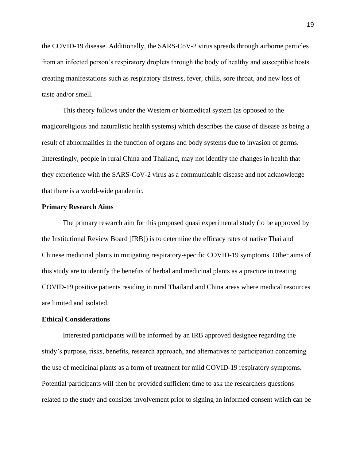the COVID-19 disease. Additionally, the SARS-CoV-2 virus spreads through airborne particles from an infected person's respiratory droplets through the body of healthy and susceptible hosts creating manifestations such as respiratory distress, fever, chills, sore throat, and new loss of taste and/or smell.

This theory follows under the Western or biomedical system (as opposed to the magicoreligious and naturalistic health systems) which describes the cause of disease as being a result of abnormalities in the function of organs and body systems due to invasion of germs. Interestingly, people in rural China and Thailand, may not identify the changes in health that they experience with the SARS-CoV-2 virus as a communicable disease and not acknowledge that there is a world-wide pandemic.

## <span id="page-19-0"></span>**Primary Research Aims**

The primary research aim for this proposed quasi experimental study (to be approved by the Institutional Review Board [IRB]) is to determine the efficacy rates of native Thai and Chinese medicinal plants in mitigating respiratory-specific COVID-19 symptoms. Other aims of this study are to identify the benefits of herbal and medicinal plants as a practice in treating COVID-19 positive patients residing in rural Thailand and China areas where medical resources are limited and isolated.

## <span id="page-19-1"></span>**Ethical Considerations**

Interested participants will be informed by an IRB approved designee regarding the study's purpose, risks, benefits, research approach, and alternatives to participation concerning the use of medicinal plants as a form of treatment for mild COVID-19 respiratory symptoms. Potential participants will then be provided sufficient time to ask the researchers questions related to the study and consider involvement prior to signing an informed consent which can be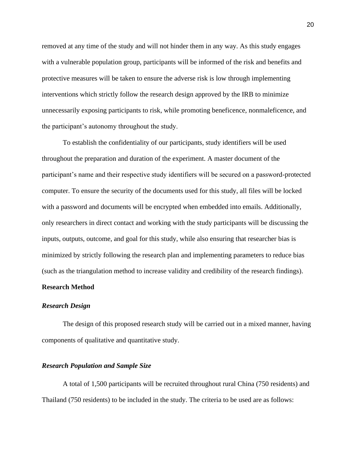removed at any time of the study and will not hinder them in any way. As this study engages with a vulnerable population group, participants will be informed of the risk and benefits and protective measures will be taken to ensure the adverse risk is low through implementing interventions which strictly follow the research design approved by the IRB to minimize unnecessarily exposing participants to risk, while promoting beneficence, nonmaleficence, and the participant's autonomy throughout the study.

To establish the confidentiality of our participants, study identifiers will be used throughout the preparation and duration of the experiment. A master document of the participant's name and their respective study identifiers will be secured on a password-protected computer. To ensure the security of the documents used for this study, all files will be locked with a password and documents will be encrypted when embedded into emails. Additionally, only researchers in direct contact and working with the study participants will be discussing the inputs, outputs, outcome, and goal for this study, while also ensuring that researcher bias is minimized by strictly following the research plan and implementing parameters to reduce bias (such as the triangulation method to increase validity and credibility of the research findings).

## <span id="page-20-0"></span>**Research Method**

#### *Research Design*

The design of this proposed research study will be carried out in a mixed manner, having components of qualitative and quantitative study.

## <span id="page-20-1"></span>*Research Population and Sample Size*

A total of 1,500 participants will be recruited throughout rural China (750 residents) and Thailand (750 residents) to be included in the study. The criteria to be used are as follows: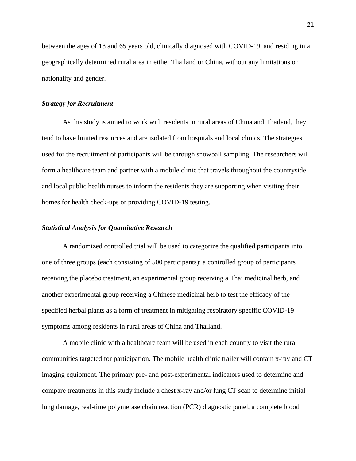between the ages of 18 and 65 years old, clinically diagnosed with COVID-19, and residing in a geographically determined rural area in either Thailand or China, without any limitations on nationality and gender.

## <span id="page-21-0"></span>*Strategy for Recruitment*

As this study is aimed to work with residents in rural areas of China and Thailand, they tend to have limited resources and are isolated from hospitals and local clinics. The strategies used for the recruitment of participants will be through snowball sampling. The researchers will form a healthcare team and partner with a mobile clinic that travels throughout the countryside and local public health nurses to inform the residents they are supporting when visiting their homes for health check-ups or providing COVID-19 testing.

## <span id="page-21-1"></span>*Statistical Analysis for Quantitative Research*

A randomized controlled trial will be used to categorize the qualified participants into one of three groups (each consisting of 500 participants): a controlled group of participants receiving the placebo treatment, an experimental group receiving a Thai medicinal herb, and another experimental group receiving a Chinese medicinal herb to test the efficacy of the specified herbal plants as a form of treatment in mitigating respiratory specific COVID-19 symptoms among residents in rural areas of China and Thailand.

A mobile clinic with a healthcare team will be used in each country to visit the rural communities targeted for participation. The mobile health clinic trailer will contain x-ray and CT imaging equipment. The primary pre- and post-experimental indicators used to determine and compare treatments in this study include a chest x-ray and/or lung CT scan to determine initial lung damage, real-time polymerase chain reaction (PCR) diagnostic panel, a complete blood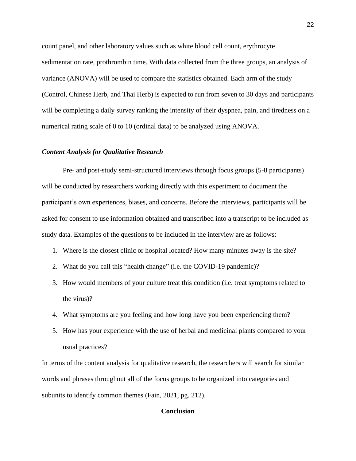count panel, and other laboratory values such as white blood cell count, erythrocyte sedimentation rate, prothrombin time. With data collected from the three groups, an analysis of variance (ANOVA) will be used to compare the statistics obtained. Each arm of the study (Control, Chinese Herb, and Thai Herb) is expected to run from seven to 30 days and participants will be completing a daily survey ranking the intensity of their dyspnea, pain, and tiredness on a numerical rating scale of 0 to 10 (ordinal data) to be analyzed using ANOVA.

## <span id="page-22-0"></span>*Content Analysis for Qualitative Research*

Pre- and post-study semi-structured interviews through focus groups (5-8 participants) will be conducted by researchers working directly with this experiment to document the participant's own experiences, biases, and concerns. Before the interviews, participants will be asked for consent to use information obtained and transcribed into a transcript to be included as study data. Examples of the questions to be included in the interview are as follows:

- 1. Where is the closest clinic or hospital located? How many minutes away is the site?
- 2. What do you call this "health change" (i.e. the COVID-19 pandemic)?
- 3. How would members of your culture treat this condition (i.e. treat symptoms related to the virus)?
- 4. What symptoms are you feeling and how long have you been experiencing them?
- 5. How has your experience with the use of herbal and medicinal plants compared to your usual practices?

<span id="page-22-1"></span>In terms of the content analysis for qualitative research, the researchers will search for similar words and phrases throughout all of the focus groups to be organized into categories and subunits to identify common themes (Fain, 2021, pg. 212).

## **Conclusion**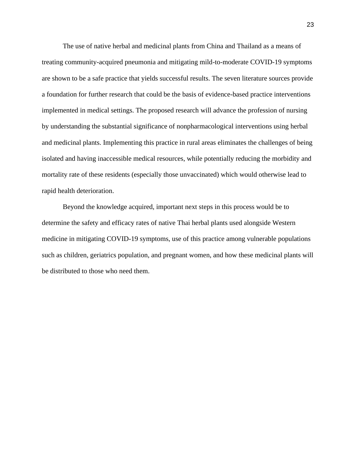The use of native herbal and medicinal plants from China and Thailand as a means of treating community-acquired pneumonia and mitigating mild-to-moderate COVID-19 symptoms are shown to be a safe practice that yields successful results. The seven literature sources provide a foundation for further research that could be the basis of evidence-based practice interventions implemented in medical settings. The proposed research will advance the profession of nursing by understanding the substantial significance of nonpharmacological interventions using herbal and medicinal plants. Implementing this practice in rural areas eliminates the challenges of being isolated and having inaccessible medical resources, while potentially reducing the morbidity and mortality rate of these residents (especially those unvaccinated) which would otherwise lead to rapid health deterioration.

Beyond the knowledge acquired, important next steps in this process would be to determine the safety and efficacy rates of native Thai herbal plants used alongside Western medicine in mitigating COVID-19 symptoms, use of this practice among vulnerable populations such as children, geriatrics population, and pregnant women, and how these medicinal plants will be distributed to those who need them.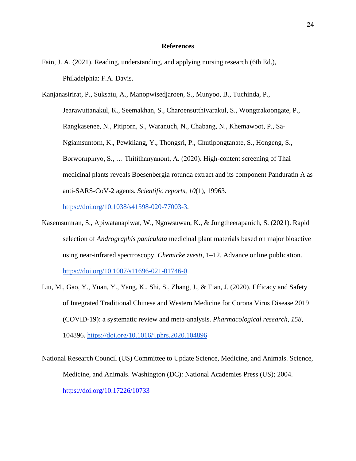## **References**

<span id="page-24-0"></span>Fain, J. A. (2021). Reading, understanding, and applying nursing research (6th Ed.), Philadelphia: F.A. Davis.

Kanjanasirirat, P., Suksatu, A., Manopwisedjaroen, S., Munyoo, B., Tuchinda, P., Jearawuttanakul, K., Seemakhan, S., Charoensutthivarakul, S., Wongtrakoongate, P., Rangkasenee, N., Pitiporn, S., Waranuch, N., Chabang, N., Khemawoot, P., Sa-Ngiamsuntorn, K., Pewkliang, Y., Thongsri, P., Chutipongtanate, S., Hongeng, S., Borwornpinyo, S., … Thitithanyanont, A. (2020). High-content screening of Thai medicinal plants reveals Boesenbergia rotunda extract and its component Panduratin A as anti-SARS-CoV-2 agents. *Scientific reports*, *10*(1), 19963.

[https://doi.org/10.1038/s41598-020-77003-3.](https://doi.org/10.1038/s41598-020-77003-3)

- Kasemsumran, S., Apiwatanapiwat, W., Ngowsuwan, K., & Jungtheerapanich, S. (2021). Rapid selection of *Andrographis paniculata* medicinal plant materials based on major bioactive using near-infrared spectroscopy. *Chemicke zvesti*, 1–12. Advance online publication. <https://doi.org/10.1007/s11696-021-01746-0>
- Liu, M., Gao, Y., Yuan, Y., Yang, K., Shi, S., Zhang, J., & Tian, J. (2020). Efficacy and Safety of Integrated Traditional Chinese and Western Medicine for Corona Virus Disease 2019 (COVID-19): a systematic review and meta-analysis. *Pharmacological research*, *158*, 104896. <https://doi.org/10.1016/j.phrs.2020.104896>

National Research Council (US) Committee to Update Science, Medicine, and Animals. Science, Medicine, and Animals. Washington (DC): National Academies Press (US); 2004. <https://doi.org/10.17226/10733>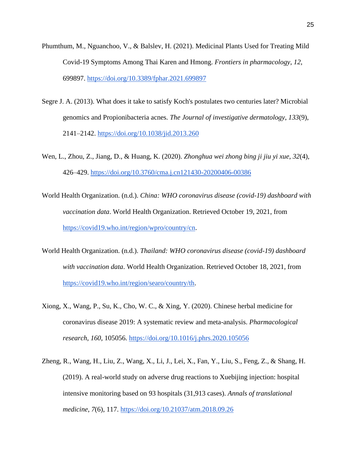- Phumthum, M., Nguanchoo, V., & Balslev, H. (2021). Medicinal Plants Used for Treating Mild Covid-19 Symptoms Among Thai Karen and Hmong. *Frontiers in pharmacology*, *12*, 699897. <https://doi.org/10.3389/fphar.2021.699897>
- Segre J. A. (2013). What does it take to satisfy Koch's postulates two centuries later? Microbial genomics and Propionibacteria acnes. *The Journal of investigative dermatology*, *133*(9), 2141–2142. <https://doi.org/10.1038/jid.2013.260>
- Wen, L., Zhou, Z., Jiang, D., & Huang, K. (2020). *Zhonghua wei zhong bing ji jiu yi xue*, *32*(4), 426–429.<https://doi.org/10.3760/cma.j.cn121430-20200406-00386>
- World Health Organization. (n.d.). *China: WHO coronavirus disease (covid-19) dashboard with vaccination data*. World Health Organization. Retrieved October 19, 2021, from [https://covid19.who.int/region/wpro/country/cn.](https://covid19.who.int/region/wpro/country/cn)
- World Health Organization. (n.d.). *Thailand: WHO coronavirus disease (covid-19) dashboard with vaccination data*. World Health Organization. Retrieved October 18, 2021, from [https://covid19.who.int/region/searo/country/th.](https://covid19.who.int/region/searo/country/th)
- Xiong, X., Wang, P., Su, K., Cho, W. C., & Xing, Y. (2020). Chinese herbal medicine for coronavirus disease 2019: A systematic review and meta-analysis. *Pharmacological research*, *160*, 105056. <https://doi.org/10.1016/j.phrs.2020.105056>
- Zheng, R., Wang, H., Liu, Z., Wang, X., Li, J., Lei, X., Fan, Y., Liu, S., Feng, Z., & Shang, H. (2019). A real-world study on adverse drug reactions to Xuebijing injection: hospital intensive monitoring based on 93 hospitals (31,913 cases). *Annals of translational medicine*, *7*(6), 117. <https://doi.org/10.21037/atm.2018.09.26>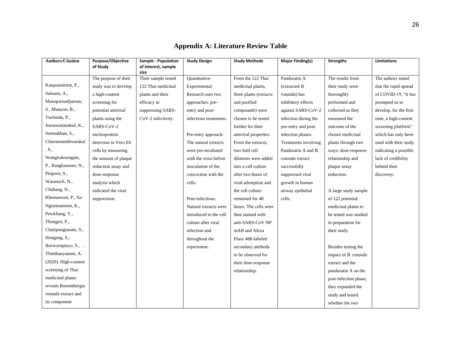<span id="page-26-0"></span>

| <b>Authors/Citation</b> | Purpose/Objective    | Sample - Population         | <b>Study Design</b>    | <b>Study Methods</b>   | <b>Major Finding(s)</b> | <b>Strengths</b>      | Limitations            |
|-------------------------|----------------------|-----------------------------|------------------------|------------------------|-------------------------|-----------------------|------------------------|
|                         | of Study             | of interest, sample<br>size |                        |                        |                         |                       |                        |
|                         | The purpose of their | Their sample tested         | Quantitative-          | From the 122 Thai      | Panduratin A            | The results from      | The authors stated     |
| Kanjanasirirat, P.,     | study was to develop | 122 Thai medicinal          | Experimental           | medicinal plants,      | (extracted B.           | their study were      | that the rapid spread  |
| Suksatu, A.,            | a high-content       | plants and their            | Research uses two      | three plants (extracts | rotunda) has            | thoroughly            | of COVID-19, "it has   |
| Manopwisedjaroen,       | screening for        | efficacy in                 | approaches: pre-       | and purified           | inhibitory effects      | performed and         | prompted us to         |
| S., Munyoo, B.,         | potential antiviral  | suppressing SARS-           | entry and post-        | compounds) were        | against SARS-CoV-2      | collected as they     | develop, for the first |
| Tuchinda, P.,           | plants using the     | CoV-2 infectivity.          | infectious treatments. | chosen to be tested    | infection during the    | measured the          | time, a high-content   |
| Jearawuttanakul, K.,    | SARS-CoV-2           |                             |                        | further for their      | pre-entry and post-     | outcome of the        | screening platform"    |
| Seemakhan, S.,          | nucleoprotein        |                             | Pre-entry approach:    | antiviral properties.  | infection phases.       | chosen medicinal      | which has only been    |
| Charoensutthivarakul    | detection in Vero E6 |                             | The natural extracts   | From the extracts,     | Treatments involving    | plants through two    | used with their study  |
| , S.,                   | cells by measuring   |                             | were pre-incubated     | two-fold cell          | Panduratin A and B.     | ways: dose-response   | indicating a possible  |
| Wongtrakoongate,        | the amount of plaque |                             | with the virus before  | dilutions were added   | rotunda extract         | relationship and      | lack of credibility    |
| P., Rangkasenee, N.,    | reduction assay and  |                             | inoculation of the     | into a cell culture    | successfully            | plaque assay          | behind their           |
| Pitiporn, S.,           | dose-response        |                             | concoction with the    | after two hours of     | suppressed viral        | reduction.            | discovery.             |
| Waranuch, N.,           | analysis which       |                             | cells.                 | viral adsorption and   | growth in human         |                       |                        |
| Chabang, N.,            | indicated the viral  |                             |                        | the cell culture       | airway epithelial       | A large study sample  |                        |
| Khemawoot, P., Sa-      | suppression.         |                             | Post-infectious:       | remained for 48        | cells.                  | of 122 potential      |                        |
| Ngiamsuntorn, K.,       |                      |                             | Natural extracts were  | hours. The cells were  |                         | medicinal plants to   |                        |
| Pewkliang, Y.,          |                      |                             | introduced to the cell | then stained with      |                         | be tested was studied |                        |
| Thongsri, P.,           |                      |                             | culture after viral    | anti-SARS-CoV NP       |                         | in preparation for    |                        |
| Chutipongtanate, S.,    |                      |                             | infection and          | mAB and Alexa          |                         | their study.          |                        |
| Hongeng, S.,            |                      |                             | throughout the         | Fluor 488-labeled      |                         |                       |                        |
| Borwornpinyo, S.,       |                      |                             | experiment.            | secondary antibody     |                         | Besides testing the   |                        |
| Thitithanyanont, A.     |                      |                             |                        | to be observed for     |                         | impact of B. rotunda  |                        |
| $(2020)$ . High-content |                      |                             |                        | their dose-response    |                         | extract and the       |                        |
| screening of Thai       |                      |                             |                        | relationship.          |                         | panduratin A on the   |                        |
| medicinal plants        |                      |                             |                        |                        |                         | post-infection phase, |                        |
| reveals Boesenbergia    |                      |                             |                        |                        |                         | they expanded the     |                        |
| rotunda extract and     |                      |                             |                        |                        |                         | study and tested      |                        |
| its component           |                      |                             |                        |                        |                         | whether the two       |                        |

## **Appendix A: Literature Review Table**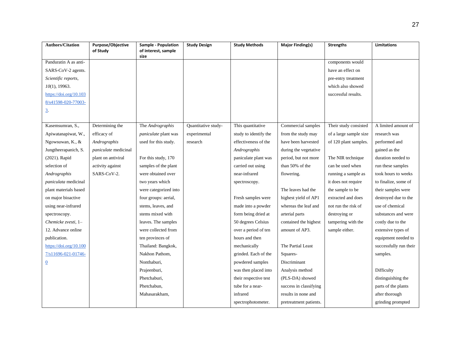| <b>Authors/Citation</b> | Purpose/Objective<br>of Study | <b>Sample - Population</b><br>of interest, sample | <b>Study Design</b> | <b>Study Methods</b>  | <b>Major Finding(s)</b> | <b>Strengths</b>       | Limitations            |
|-------------------------|-------------------------------|---------------------------------------------------|---------------------|-----------------------|-------------------------|------------------------|------------------------|
|                         |                               | size                                              |                     |                       |                         |                        |                        |
| Panduratin A as anti-   |                               |                                                   |                     |                       |                         | components would       |                        |
| SARS-CoV-2 agents.      |                               |                                                   |                     |                       |                         | have an effect on      |                        |
| Scientific reports,     |                               |                                                   |                     |                       |                         | pre-entry treatment    |                        |
| $10(1)$ , 19963.        |                               |                                                   |                     |                       |                         | which also showed      |                        |
| https://doi.org/10.103  |                               |                                                   |                     |                       |                         | successful results.    |                        |
| 8/s41598-020-77003-     |                               |                                                   |                     |                       |                         |                        |                        |
| <u>3</u> .              |                               |                                                   |                     |                       |                         |                        |                        |
|                         |                               |                                                   |                     |                       |                         |                        |                        |
| Kasemsumran, S.,        | Determining the               | The Andrographis                                  | Quantitative study- | This quantitative     | Commercial samples      | Their study consisted  | A limited amount of    |
| Apiwatanapiwat, W.,     | efficacy of                   | paniculate plant was                              | experimental        | study to identify the | from the study may      | of a large sample size | research was           |
| Ngowsuwan, K., &        | Andrographis                  | used for this study.                              | research            | effectiveness of the  | have been harvested     | of 120 plant samples.  | performed and          |
| Jungtheerapanich, S.    | paniculate medicinal          |                                                   |                     | Andrographis          | during the vegetative   |                        | gained as the          |
| (2021). Rapid           | plant on antiviral            | For this study, 170                               |                     | paniculate plant was  | period, but not more    | The NIR technique      | duration needed to     |
| selection of            | activity against              | samples of the plant                              |                     | carried out using     | than 50% of the         | can be used when       | run these samples      |
| Andrographis            | SARS-CoV-2.                   | were obtained over                                |                     | near-infrared         | flowering.              | running a sample as    | took hours to weeks    |
| paniculata medicinal    |                               | two years which                                   |                     | spectroscopy.         |                         | it does not require    | to finalize, some of   |
| plant materials based   |                               | were categorized into                             |                     |                       | The leaves had the      | the sample to be       | their samples were     |
| on major bioactive      |                               | four groups: aerial,                              |                     | Fresh samples were    | highest yield of AP1    | extracted and does     | destroyed due to the   |
| using near-infrared     |                               | stems, leaves, and                                |                     | made into a powder    | whereas the leaf and    | not run the risk of    | use of chemical        |
| spectroscopy.           |                               | stems mixed with                                  |                     | form being dried at   | arterial parts          | destroying or          | substances and were    |
| Chemicke zvesti, 1-     |                               | leaves. The samples                               |                     | 50 degrees Celsius    | contained the highest   | tampering with the     | costly due to the      |
| 12. Advance online      |                               | were collected from                               |                     | over a period of ten  | amount of AP3.          | sample either.         | extensive types of     |
| publication.            |                               | ten provinces of                                  |                     | hours and then        |                         |                        | equipment needed to    |
| https://doi.org/10.100  |                               | Thailand: Bangkok,                                |                     | mechanically          | The Partial Least       |                        | successfully run their |
| 7/s11696-021-01746-     |                               | Nakhon Pathom,                                    |                     | grinded. Each of the  | Squares-                |                        | samples.               |
| $\overline{0}$          |                               | Nonthaburi,                                       |                     | powdered samples      | Discriminant            |                        |                        |
|                         |                               | Prajeenburi,                                      |                     | was then placed into  | Analysis method         |                        | Difficulty             |
|                         |                               | Phetchaburi,                                      |                     | their respective test | (PLS-DA) showed         |                        | distinguishing the     |
|                         |                               | Phetchabun,                                       |                     | tube for a near-      | success in classifying  |                        | parts of the plants    |
|                         |                               | Mahasarakham,                                     |                     | infrared              | results in none and     |                        | after thorough         |
|                         |                               |                                                   |                     | spectrophotometer.    | pretreatment patients.  |                        | grinding prompted      |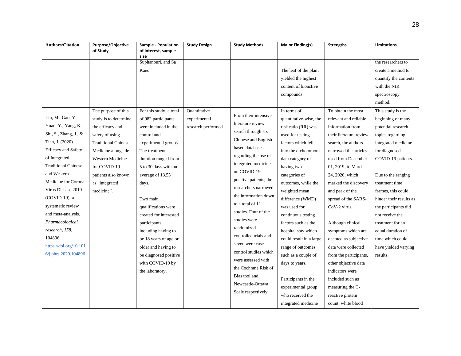| <b>Authors/Citation</b>    | Purpose/Objective<br>of Study | <b>Sample - Population</b><br>of interest, sample | <b>Study Design</b> | <b>Study Methods</b>   | Major Finding(s)        | <b>Strengths</b>        | Limitations             |
|----------------------------|-------------------------------|---------------------------------------------------|---------------------|------------------------|-------------------------|-------------------------|-------------------------|
|                            |                               | size                                              |                     |                        |                         |                         |                         |
|                            |                               | Suphanburi, and Sa                                |                     |                        |                         |                         | the researchers to      |
|                            |                               | Kaeo.                                             |                     |                        | The leaf of the plant   |                         | create a method to      |
|                            |                               |                                                   |                     |                        | yielded the highest     |                         | quantify the contents   |
|                            |                               |                                                   |                     |                        | content of bioactive    |                         | with the NIR            |
|                            |                               |                                                   |                     |                        | compounds.              |                         | spectroscopy            |
|                            |                               |                                                   |                     |                        |                         |                         | method.                 |
|                            | The purpose of this           | For this study, a total                           | Quantitative        |                        | In terms of             | To obtain the most      | This study is the       |
| Liu, M., Gao, Y.,          | study is to determine         | of 982 participants                               | experimental        | From their intensive   | quantitative-wise, the  | relevant and reliable   | beginning of many       |
| Yuan, Y., Yang, K.,        | the efficacy and              | were included in the                              | research performed  | literature review      | risk ratio (RR) was     | information from        | potential research      |
| Shi, S., Zhang, J., &      | safety of using               | control and                                       |                     | search through six     | used for testing        | their literature review | topics regarding        |
| Tian, J. (2020).           | <b>Traditional Chinese</b>    | experimental groups.                              |                     | Chinese and English-   | factors which fell      | search, the authors     | integrated medicine     |
| <b>Efficacy</b> and Safety | Medicine alongside            | The treatment                                     |                     | based databases        | into the dichotomous    | narrowed the articles   | for diagnosed           |
| of Integrated              | Western Medicine              | duration ranged from                              |                     | regarding the use of   | data category of        | used from December      | COVID-19 patients.      |
| <b>Traditional Chinese</b> | for COVID-19                  | 5 to 30 days with an                              |                     | integrated medicine    | having two              | 01, 2019, to March      |                         |
| and Western                | patients also known           | average of 13.55                                  |                     | on COVID-19            | categories of           | 24, 2020, which         | Due to the ranging      |
| Medicine for Corona        | as "integrated                | days.                                             |                     | positive patients, the | outcomes, while the     | marked the discovery    | treatment time          |
| Virus Disease 2019         | medicine".                    |                                                   |                     | researchers narrowed   | weighted mean           | and peak of the         | frames, this could      |
| (COVID-19): a              |                               | Two main                                          |                     | the information down   | difference (WMD)        | spread of the SARS-     | hinder their results as |
| systematic review          |                               | qualifications were                               |                     | to a total of 11       | was used for            | CoV-2 virus.            | the participants did    |
| and meta-analysis.         |                               | created for interested                            |                     | studies. Four of the   | continuous testing      |                         | not receive the         |
| Pharmacological            |                               | participants                                      |                     | studies were           | factors such as the     | Although clinical       | treatment for an        |
| research, 158,             |                               | including having to                               |                     | randomized             | hospital stay which     | symptoms which are      | equal duration of       |
| 104896.                    |                               | be 18 years of age or                             |                     | controlled trials and  | could result in a large | deemed as subjective    | time which could        |
| https://doi.org/10.101     |                               | older and having to                               |                     | seven were case-       | range of outcomes       | data were collected     | have yielded varying    |
| 6/j.phrs.2020.104896       |                               | be diagnosed positive                             |                     | control studies which  | such as a couple of     | from the participants,  | results.                |
|                            |                               | with COVID-19 by                                  |                     | were assessed with     | days to years.          | other objective data    |                         |
|                            |                               | the laboratory.                                   |                     | the Cochrane Risk of   |                         | indicators were         |                         |
|                            |                               |                                                   |                     | Bias tool and          | Participants in the     | included such as        |                         |
|                            |                               |                                                   |                     | Newcastle-Ottawa       | experimental group      | measuring the C-        |                         |
|                            |                               |                                                   |                     | Scale respectively.    | who received the        | reactive protein        |                         |
|                            |                               |                                                   |                     |                        | integrated medicine     | count, white blood      |                         |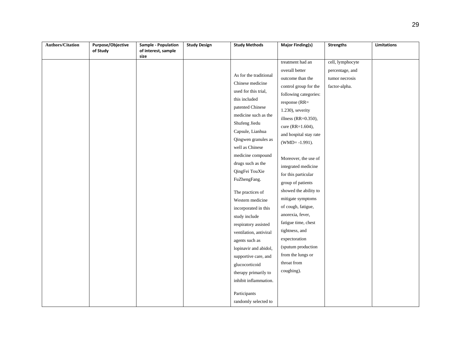| <b>Authors/Citation</b> | <b>Purpose/Objective</b> | Sample - Population | <b>Study Design</b> | <b>Study Methods</b>   | <b>Major Finding(s)</b> | <b>Strengths</b> | Limitations |
|-------------------------|--------------------------|---------------------|---------------------|------------------------|-------------------------|------------------|-------------|
|                         | of Study                 | of interest, sample |                     |                        |                         |                  |             |
|                         |                          | size                |                     |                        | treatment had an        | cell, lymphocyte |             |
|                         |                          |                     |                     |                        | overall better          | percentage, and  |             |
|                         |                          |                     |                     | As for the traditional | outcome than the        | tumor necrosis   |             |
|                         |                          |                     |                     | Chinese medicine       | control group for the   | factor-alpha.    |             |
|                         |                          |                     |                     | used for this trial,   |                         |                  |             |
|                         |                          |                     |                     | this included          | following categories:   |                  |             |
|                         |                          |                     |                     | patented Chinese       | response (RR=           |                  |             |
|                         |                          |                     |                     | medicine such as the   | 1.230), severity        |                  |             |
|                         |                          |                     |                     | Shufeng Jiedu          | illness (RR= $0.350$ ), |                  |             |
|                         |                          |                     |                     | Capsule, Lianhua       | cure (RR=1.604),        |                  |             |
|                         |                          |                     |                     | Qingwen granules as    | and hospital stay rate  |                  |             |
|                         |                          |                     |                     | well as Chinese        | $(WMD = -1.991)$ .      |                  |             |
|                         |                          |                     |                     | medicine compound      |                         |                  |             |
|                         |                          |                     |                     |                        | Moreover, the use of    |                  |             |
|                         |                          |                     |                     | drugs such as the      | integrated medicine     |                  |             |
|                         |                          |                     |                     | QingFei TouXie         | for this particular     |                  |             |
|                         |                          |                     |                     | FuZhengFang.           | group of patients       |                  |             |
|                         |                          |                     |                     | The practices of       | showed the ability to   |                  |             |
|                         |                          |                     |                     | Western medicine       | mitigate symptoms       |                  |             |
|                         |                          |                     |                     | incorporated in this   | of cough, fatigue,      |                  |             |
|                         |                          |                     |                     | study include          | anorexia, fever,        |                  |             |
|                         |                          |                     |                     | respiratory assisted   | fatigue time, chest     |                  |             |
|                         |                          |                     |                     | ventilation, antiviral | tightness, and          |                  |             |
|                         |                          |                     |                     |                        | expectoration           |                  |             |
|                         |                          |                     |                     | agents such as         | (sputum production      |                  |             |
|                         |                          |                     |                     | lopinavir and abidol,  | from the lungs or       |                  |             |
|                         |                          |                     |                     | supportive care, and   | throat from             |                  |             |
|                         |                          |                     |                     | glucocorticoid         |                         |                  |             |
|                         |                          |                     |                     | therapy primarily to   | coughing).              |                  |             |
|                         |                          |                     |                     | inhibit inflammation.  |                         |                  |             |
|                         |                          |                     |                     | Participants           |                         |                  |             |
|                         |                          |                     |                     |                        |                         |                  |             |
|                         |                          |                     |                     | randomly selected to   |                         |                  |             |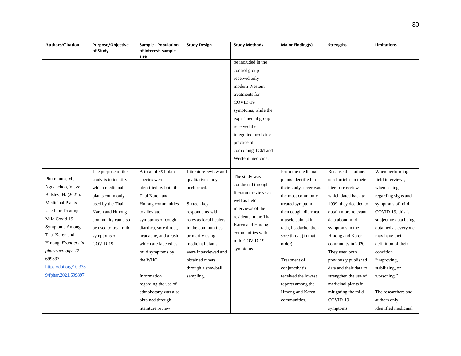| <b>Authors/Citation</b> | <b>Purpose/Objective</b><br>of Study | Sample - Population<br>of interest, sample | <b>Study Design</b>    | <b>Study Methods</b>  | <b>Major Finding(s)</b> | <b>Strengths</b>       | Limitations           |
|-------------------------|--------------------------------------|--------------------------------------------|------------------------|-----------------------|-------------------------|------------------------|-----------------------|
|                         |                                      | size                                       |                        |                       |                         |                        |                       |
|                         |                                      |                                            |                        | be included in the    |                         |                        |                       |
|                         |                                      |                                            |                        | control group         |                         |                        |                       |
|                         |                                      |                                            |                        | received only         |                         |                        |                       |
|                         |                                      |                                            |                        | modern Western        |                         |                        |                       |
|                         |                                      |                                            |                        | treatments for        |                         |                        |                       |
|                         |                                      |                                            |                        | COVID-19              |                         |                        |                       |
|                         |                                      |                                            |                        | symptoms, while the   |                         |                        |                       |
|                         |                                      |                                            |                        | experimental group    |                         |                        |                       |
|                         |                                      |                                            |                        | received the          |                         |                        |                       |
|                         |                                      |                                            |                        | integrated medicine   |                         |                        |                       |
|                         |                                      |                                            |                        | practice of           |                         |                        |                       |
|                         |                                      |                                            |                        | combining TCM and     |                         |                        |                       |
|                         |                                      |                                            |                        | Western medicine.     |                         |                        |                       |
|                         | The purpose of this                  | A total of 491 plant                       | Literature review and  |                       | From the medicinal      | Because the authors    | When performing       |
| Phumthum, M.,           | study is to identify                 | species were                               | qualitative study      | The study was         | plants identified in    | used articles in their | field interviews,     |
| Nguanchoo, V., &        | which medicinal                      | identified by both the                     | performed.             | conducted through     | their study, fever was  | literature review      | when asking           |
| Balslev, H. (2021).     | plants commonly                      | Thai Karen and                             |                        | literature reviews as | the most commonly       | which dated back to    | regarding signs and   |
| <b>Medicinal Plants</b> | used by the Thai                     | Hmong communities                          | Sixteen key            | well as field         | treated symptom,        | 1999, they decided to  | symptoms of mild      |
| Used for Treating       | Karen and Hmong                      | to alleviate                               | respondents with       | interviews of the     | then cough, diarrhea,   | obtain more relevant   | COVID-19, this is     |
| Mild Covid-19           | community can also                   | symptoms of cough,                         | roles as local healers | residents in the Thai | muscle pain, skin       | data about mild        | subjective data being |
| <b>Symptoms Among</b>   | be used to treat mild                | diarrhea, sore throat,                     | in the communities     | Karen and Hmong       | rash, headache, then    | symptoms in the        | obtained as everyone  |
| Thai Karen and          | symptoms of                          | headache, and a rash                       | primarily using        | communities with      | sore throat (in that    | Hmong and Karen        | may have their        |
| Hmong. Frontiers in     | COVID-19.                            | which are labeled as                       | medicinal plants       | mild COVID-19         | order).                 | community in 2020.     | definition of their   |
| pharmacology, 12,       |                                      | mild symptoms by                           | were interviewed and   | symptoms.             |                         | They used both         | condition             |
| 699897.                 |                                      | the WHO.                                   | obtained others        |                       | Treatment of            | previously published   | "improving,           |
| https://doi.org/10.338  |                                      |                                            | through a snowball     |                       | conjunctivitis          | data and their data to | stabilizing, or       |
| 9/fphar.2021.699897     |                                      | Information                                | sampling.              |                       | received the lowest     | strengthen the use of  | worsening."           |
|                         |                                      | regarding the use of                       |                        |                       | reports among the       | medicinal plants in    |                       |
|                         |                                      | ethnobotany was also                       |                        |                       | Hmong and Karen         | mitigating the mild    | The researchers and   |
|                         |                                      | obtained through                           |                        |                       | communities.            | COVID-19               | authors only          |
|                         |                                      | literature review                          |                        |                       |                         | symptoms.              | identified medicinal  |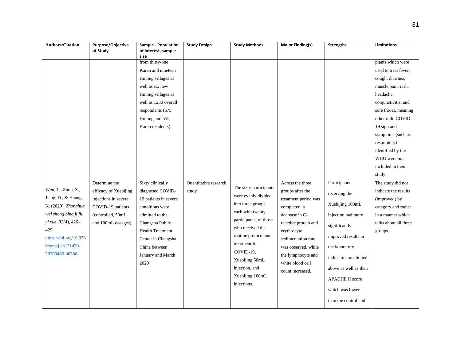| <b>Authors/Citation</b> | Purpose/Objective     | Sample - Population         | <b>Study Design</b>   | <b>Study Methods</b>                   | <b>Major Finding(s)</b>                | <b>Strengths</b>       | Limitations           |
|-------------------------|-----------------------|-----------------------------|-----------------------|----------------------------------------|----------------------------------------|------------------------|-----------------------|
|                         | of Study              | of interest, sample<br>size |                       |                                        |                                        |                        |                       |
|                         |                       | from thirty-one             |                       |                                        |                                        |                        | plants which were     |
|                         |                       | Karen and nineteen          |                       |                                        |                                        |                        | used to treat fever,  |
|                         |                       | Hmong villages as           |                       |                                        |                                        |                        | cough, diarrhea,      |
|                         |                       | well as six new             |                       |                                        |                                        |                        | muscle pain, rash,    |
|                         |                       | Hmong villages as           |                       |                                        |                                        |                        | headache,             |
|                         |                       | well as 1230 overall        |                       |                                        |                                        |                        | conjunctivitis, and   |
|                         |                       | respondents (675            |                       |                                        |                                        |                        | sore throat, meaning  |
|                         |                       | Hmong and 555               |                       |                                        |                                        |                        | other mild COVID-     |
|                         |                       | Karen residents).           |                       |                                        |                                        |                        | 19 sign and           |
|                         |                       |                             |                       |                                        |                                        |                        | symptoms (such as     |
|                         |                       |                             |                       |                                        |                                        |                        | respiratory)          |
|                         |                       |                             |                       |                                        |                                        |                        | identified by the     |
|                         |                       |                             |                       |                                        |                                        |                        | WHO were not          |
|                         |                       |                             |                       |                                        |                                        |                        | included in their     |
|                         |                       |                             |                       |                                        |                                        |                        | study.                |
|                         | Determine the         | Sixty clinically            | Quantitative research |                                        | Across the three                       | Participants           | The study did not     |
| Wen, L., Zhou, Z.,      | efficacy of Xuebijing | diagnosed COVID-            | study                 | The sixty participants                 | groups after the                       | receiving the          | indicate the results  |
| Jiang, D., & Huang,     | injections in severe  | 19 patients in severe       |                       | were evenly divided                    | treatment period was                   |                        | (improved) by         |
| K. (2020). Zhonghua     | COVID-19 patients     | conditions were             |                       | into three groups,<br>each with twenty | completed, a                           | Xuebijing 100mL        | category and rather   |
| wei zhong bing ji jiu   | (controlled, 50mL,    | admitted to the             |                       | participants, of those                 | decrease in C-                         | injection had more     | in a manner which     |
| yi xue, 32(4), 426-     | and 100mL dosages).   | Changsha Public             |                       | who received the                       | reactive protein and                   | significantly          | talks about all three |
| 429.                    |                       | <b>Health Treatment</b>     |                       | routine protocol and                   | erythrocyte                            | improved results in    | groups.               |
| https://doi.org/10.376  |                       | Center in Changsha,         |                       | treatment for                          | sedimentation rate                     |                        |                       |
| 0/cma.j.cn121430-       |                       | China between               |                       | COVID-19,                              | was observed, while                    | the laboratory         |                       |
| 20200406-00386          |                       | January and March           |                       | Xuebijing 50mL                         | the lymphocyte and<br>white blood cell | indicators mentioned   |                       |
|                         |                       | 2020                        |                       | injection, and                         | count increased.                       | above as well as their |                       |
|                         |                       |                             |                       | Xuebijing 100mL                        |                                        | <b>APACHE II score</b> |                       |
|                         |                       |                             |                       | injections.                            |                                        | which was lower        |                       |
|                         |                       |                             |                       |                                        |                                        | than the control and   |                       |
|                         |                       |                             |                       |                                        |                                        |                        |                       |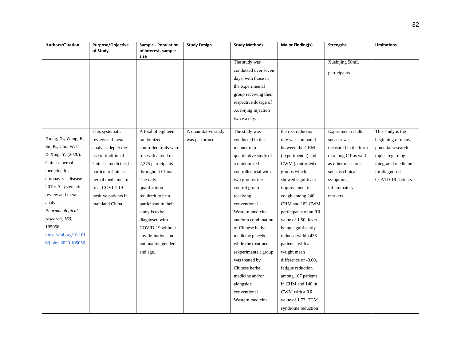| <b>Authors/Citation</b> | Purpose/Objective<br>of Study | Sample - Population<br>of interest, sample | <b>Study Design</b>  | <b>Study Methods</b>  | <b>Major Finding(s)</b> | <b>Strengths</b>          | Limitations         |
|-------------------------|-------------------------------|--------------------------------------------|----------------------|-----------------------|-------------------------|---------------------------|---------------------|
|                         |                               | size                                       |                      |                       |                         |                           |                     |
|                         |                               |                                            |                      | The study was         |                         | Xuebijing 50mL            |                     |
|                         |                               |                                            |                      | conducted over seven  |                         | participants.             |                     |
|                         |                               |                                            |                      | days, with those in   |                         |                           |                     |
|                         |                               |                                            |                      | the experimental      |                         |                           |                     |
|                         |                               |                                            |                      | group receiving their |                         |                           |                     |
|                         |                               |                                            |                      | respective dosage of  |                         |                           |                     |
|                         |                               |                                            |                      | Xuebijing injection   |                         |                           |                     |
|                         |                               |                                            |                      | twice a day.          |                         |                           |                     |
|                         |                               |                                            |                      |                       |                         |                           |                     |
| Xiong, X., Wang, P.,    | This systematic               | A total of eighteen                        | A quantitative study | The study was         | the risk reduction      | <b>Experiment results</b> | This study is the   |
| Su, K., Cho, W. C.,     | review and meta-              | randomized                                 | was performed        | conducted in the      | rate was compared       | success was               | beginning of many   |
|                         | analysis depict the           | controlled trials were                     |                      | manner of a           | between the CHM         | measured in the form      | potential research  |
| & Xing, Y. (2020).      | use of traditional            | run with a total of                        |                      | quantitative study of | (experimental) and      | of a lung CT as well      | topics regarding    |
| Chinese herbal          | Chinese medicine, in          | 2,275 participants                         |                      | a randomized          | CWM (controlled)        | as other measures         | integrated medicine |
| medicine for            | particular Chinese            | throughout China.                          |                      | controlled trial with | groups which            | such as clinical          | for diagnosed       |
| coronavirus disease     | herbal medicine, to           | The only                                   |                      | two groups: the       | showed significant      | symptoms,                 | COVID-19 patients.  |
| 2019: A systematic      | treat COVID-19                | qualification                              |                      | control group         | improvement in          | inflammatory              |                     |
| review and meta-        | positive patients in          | requiredt to be a                          |                      | receiving             | cough among 240         | markers                   |                     |
| analysis.               | mainland China.               | participant in their                       |                      | conventional          | CHM and 182 CWM         |                           |                     |
| Pharmacological         |                               | study is to be                             |                      | Western medicine      | participants of an RR   |                           |                     |
| research, 160,          |                               | diagnosed with                             |                      | and/or a combination  | value of 1.50, fever    |                           |                     |
| 105056.                 |                               | COVID-19 without                           |                      | of Chinese herbal     | being significantly     |                           |                     |
| https://doi.org/10.101  |                               | any limitations on                         |                      | medicine placebo      | reduced within 433      |                           |                     |
| 6/j.phrs.2020.105056    |                               | nationality, gender,                       |                      | while the treatment   | patients with a         |                           |                     |
|                         |                               | and age.                                   |                      | (experimental) group  | weight mean             |                           |                     |
|                         |                               |                                            |                      | was treated by        | difference of -0.60,    |                           |                     |
|                         |                               |                                            |                      | Chinese herbal        | fatigue reduction       |                           |                     |
|                         |                               |                                            |                      | medicine and/or       | among 167 patients      |                           |                     |
|                         |                               |                                            |                      | alongside             | in CHM and 140 in       |                           |                     |
|                         |                               |                                            |                      | conventional          | CWM with a RR           |                           |                     |
|                         |                               |                                            |                      | Western medicine.     | value of 1.73, TCM      |                           |                     |
|                         |                               |                                            |                      |                       | syndrome reduction      |                           |                     |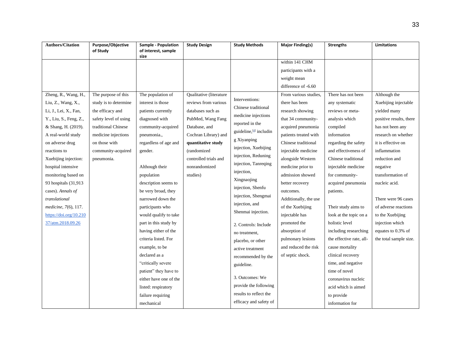| <b>Authors/Citation</b>      | Purpose/Objective<br>of Study | <b>Sample - Population</b><br>of interest, sample | <b>Study Design</b>     | <b>Study Methods</b>    | <b>Major Finding(s)</b>            | <b>Strengths</b>         | <b>Limitations</b>      |
|------------------------------|-------------------------------|---------------------------------------------------|-------------------------|-------------------------|------------------------------------|--------------------------|-------------------------|
|                              |                               | size                                              |                         |                         | within 141 CHM                     |                          |                         |
|                              |                               |                                                   |                         |                         |                                    |                          |                         |
|                              |                               |                                                   |                         |                         | participants with a<br>weight mean |                          |                         |
|                              |                               |                                                   |                         |                         | difference of -6.60                |                          |                         |
|                              |                               |                                                   |                         |                         |                                    |                          |                         |
| Zheng, R., Wang, H.,         | The purpose of this           | The population of                                 | Qualitative (literature | Interventions:          | From various studies,              | There has not been       | Although the            |
| Liu, Z., Wang, X.,           | study is to determine         | interest is those                                 | reviews from various    | Chinese traditional     | there has been                     | any systematic           | Xuebijing injectable    |
| Li, J., Lei, X., Fan,        | the efficacy and              | patients currently                                | databases such as       | medicine injections     | research showing                   | reviews or meta-         | yielded many            |
| Y., Liu, S., Feng, Z.,       | safety level of using         | diagnosed with                                    | PubMed, Wang Fang       | reported in the         | that 34 community-                 | analysis which           | positive results, there |
| & Shang, H. (2019).          | traditional Chinese           | community-acquired                                | Database, and           | guideline, [4] includin | acquired pneumonia                 | compiled                 | has not been any        |
| A real-world study           | medicine injections           | pneumonia.,                                       | Cochran Library) and    | g Xiyanping             | patients treated with              | information              | research on whether     |
| on adverse drug              | on those with                 | regardless of age and                             | quantitative study      | injection, Xuebijing    | Chinese traditional                | regarding the safety     | it is effective on      |
| reactions to                 | community-acquired            | gender.                                           | (randomized             | injection, Reduning     | injectable medicine                | and effectiveness of     | inflammation            |
| Xuebijing injection:         | pneumonia.                    |                                                   | controlled trials and   | injection, Tanreqing    | alongside Western                  | Chinese traditional      | reduction and           |
| hospital intensive           |                               | Although their                                    | nonrandomized           |                         | medicine prior to                  | injectable medicine      | negative                |
| monitoring based on          |                               | population                                        | studies)                | injection,              | admission showed                   | for community-           | transformation of       |
| 93 hospitals (31,913         |                               | description seems to                              |                         | Xingnaojing             | better recovery                    | acquired pneumonia       | nucleic acid.           |
| cases). Annals of            |                               | be very broad, they                               |                         | injection, Shenfu       | outcomes.                          | patients.                |                         |
| translational                |                               | narrowed down the                                 |                         | injection, Shengmai     | Additionally, the use              |                          | There were 96 cases     |
| <i>medicine</i> , 7(6), 117. |                               | participants who                                  |                         | injection, and          | of the Xuebijing                   | Their study aims to      | of adverse reactions    |
| https://doi.org/10.210       |                               | would qualify to take                             |                         | Shenmai injection.      | injectable has                     | look at the topic on a   | to the Xuebijing        |
| 37/atm.2018.09.26            |                               | part in this study by                             |                         | 2. Controls: Include    | promoted the                       | holistic level           | injection which         |
|                              |                               | having either of the                              |                         | no treatment,           | absorption of                      | including researching    | equates to 0.3% of      |
|                              |                               | criteria listed. For                              |                         | placebo, or other       | pulmonary lesions                  | the effective rate, all- | the total sample size.  |
|                              |                               | example, to be                                    |                         | active treatment        | and reduced the risk               | cause mortality          |                         |
|                              |                               | declared as a                                     |                         | recommended by the      | of septic shock.                   | clinical recovery        |                         |
|                              |                               | "critically severe                                |                         | guideline.              |                                    | time, and negative       |                         |
|                              |                               | patient" they have to                             |                         |                         |                                    | time of novel            |                         |
|                              |                               | either have one of the                            |                         | 3. Outcomes: We         |                                    | coronavirus nucleic      |                         |
|                              |                               | listed: respiratory                               |                         | provide the following   |                                    | acid which is aimed      |                         |
|                              |                               | failure requiring                                 |                         | results to reflect the  |                                    | to provide               |                         |
|                              |                               | mechanical                                        |                         | efficacy and safety of  |                                    | information for          |                         |